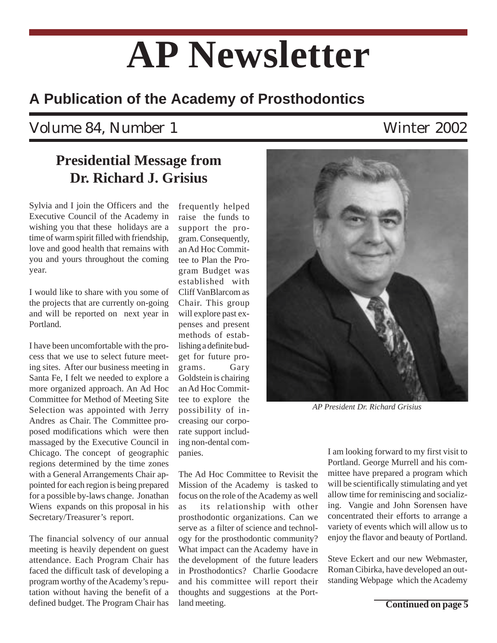# **AP Newsletter**

### **A Publication of the Academy of Prosthodontics**

### Volume 84, Number 1 Winter 2002

#### **Presidential Message from Dr. Richard J. Grisius**

Sylvia and I join the Officers and the Executive Council of the Academy in wishing you that these holidays are a time of warm spirit filled with friendship, love and good health that remains with you and yours throughout the coming year.

I would like to share with you some of the projects that are currently on-going and will be reported on next year in Portland.

I have been uncomfortable with the process that we use to select future meeting sites. After our business meeting in Santa Fe, I felt we needed to explore a more organized approach. An Ad Hoc Committee for Method of Meeting Site Selection was appointed with Jerry Andres as Chair. The Committee proposed modifications which were then massaged by the Executive Council in Chicago. The concept of geographic regions determined by the time zones with a General Arrangements Chair appointed for each region is being prepared for a possible by-laws change. Jonathan Wiens expands on this proposal in his Secretary/Treasurer's report.

The financial solvency of our annual meeting is heavily dependent on guest attendance. Each Program Chair has faced the difficult task of developing a program worthy of the Academy's reputation without having the benefit of a defined budget. The Program Chair has

frequently helped raise the funds to support the program. Consequently, an Ad Hoc Committee to Plan the Program Budget was established with Cliff VanBlarcom as Chair. This group will explore past expenses and present methods of establishing a definite budget for future programs. Gary Goldstein is chairing an Ad Hoc Committee to explore the possibility of increasing our corporate support including non-dental companies.

The Ad Hoc Committee to Revisit the Mission of the Academy is tasked to focus on the role of the Academy as well as its relationship with other prosthodontic organizations. Can we serve as a filter of science and technology for the prosthodontic community? What impact can the Academy have in the development of the future leaders in Prosthodontics? Charlie Goodacre and his committee will report their thoughts and suggestions at the Portland meeting.



*AP President Dr. Richard Grisius*

I am looking forward to my first visit to Portland. George Murrell and his committee have prepared a program which will be scientifically stimulating and yet allow time for reminiscing and socializing. Vangie and John Sorensen have concentrated their efforts to arrange a variety of events which will allow us to enjoy the flavor and beauty of Portland.

Steve Eckert and our new Webmaster, Roman Cibirka, have developed an outstanding Webpage which the Academy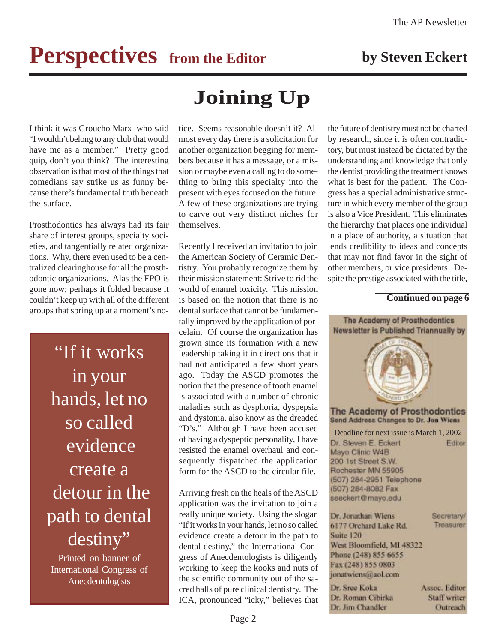## **Perspectives** from the Editor by Steven Eckert

I think it was Groucho Marx who said "I wouldn't belong to any club that would have me as a member." Pretty good quip, don't you think? The interesting observation is that most of the things that comedians say strike us as funny because there's fundamental truth beneath the surface.

Prosthodontics has always had its fair share of interest groups, specialty societies, and tangentially related organizations. Why, there even used to be a centralized clearinghouse for all the prosthodontic organizations. Alas the FPO is gone now; perhaps it folded because it couldn't keep up with all of the different groups that spring up at a moment's no-

> "If it works in your hands, let no so called evidence create a detour in the path to dental destiny"

Printed on banner of International Congress of Anecdentologists

### **Joining Up**

tice. Seems reasonable doesn't it? Almost every day there is a solicitation for another organization begging for members because it has a message, or a mission or maybe even a calling to do something to bring this specialty into the present with eyes focused on the future. A few of these organizations are trying to carve out very distinct niches for themselves.

Recently I received an invitation to join the American Society of Ceramic Dentistry. You probably recognize them by their mission statement: Strive to rid the world of enamel toxicity. This mission is based on the notion that there is no dental surface that cannot be fundamentally improved by the application of porcelain. Of course the organization has grown since its formation with a new leadership taking it in directions that it had not anticipated a few short years ago. Today the ASCD promotes the notion that the presence of tooth enamel is associated with a number of chronic maladies such as dysphoria, dyspepsia and dystonia, also know as the dreaded "D's." Although I have been accused of having a dyspeptic personality, I have resisted the enamel overhaul and consequently dispatched the application form for the ASCD to the circular file.

Arriving fresh on the heals of the ASCD application was the invitation to join a really unique society. Using the slogan "If it works in your hands, let no so called evidence create a detour in the path to dental destiny," the International Congress of Anecdentologists is diligently working to keep the kooks and nuts of the scientific community out of the sacred halls of pure clinical dentistry. The ICA, pronounced "icky," believes that the future of dentistry must not be charted by research, since it is often contradictory, but must instead be dictated by the understanding and knowledge that only the dentist providing the treatment knows what is best for the patient. The Congress has a special administrative structure in which every member of the group is also a Vice President. This eliminates the hierarchy that places one individual in a place of authority, a situation that lends credibility to ideas and concepts that may not find favor in the sight of other members, or vice presidents. Despite the prestige associated with the title,

#### **Continued on page 6**

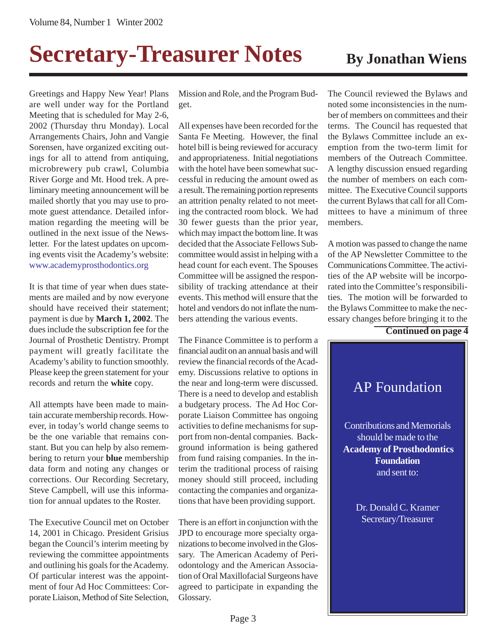## **Secretary-Treasurer Notes** By Jonathan Wiens

Greetings and Happy New Year! Plans are well under way for the Portland Meeting that is scheduled for May 2-6, 2002 (Thursday thru Monday). Local Arrangements Chairs, John and Vangie Sorensen, have organized exciting outings for all to attend from antiquing, microbrewery pub crawl, Columbia River Gorge and Mt. Hood trek. A preliminary meeting announcement will be mailed shortly that you may use to promote guest attendance. Detailed information regarding the meeting will be outlined in the next issue of the Newsletter. For the latest updates on upcoming events visit the Academy's website: www.academyprosthodontics.org

It is that time of year when dues statements are mailed and by now everyone should have received their statement; payment is due by **March 1, 2002**. The dues include the subscription fee for the Journal of Prosthetic Dentistry. Prompt payment will greatly facilitate the Academy's ability to function smoothly. Please keep the green statement for your records and return the **white** copy.

All attempts have been made to maintain accurate membership records. However, in today's world change seems to be the one variable that remains constant. But you can help by also remembering to return your **blue** membership data form and noting any changes or corrections. Our Recording Secretary, Steve Campbell, will use this information for annual updates to the Roster.

The Executive Council met on October 14, 2001 in Chicago. President Grisius began the Council's interim meeting by reviewing the committee appointments and outlining his goals for the Academy. Of particular interest was the appointment of four Ad Hoc Committees: Corporate Liaison, Method of Site Selection,

Mission and Role, and the Program Budget.

All expenses have been recorded for the Santa Fe Meeting. However, the final hotel bill is being reviewed for accuracy and appropriateness. Initial negotiations with the hotel have been somewhat successful in reducing the amount owed as a result. The remaining portion represents an attrition penalty related to not meeting the contracted room block. We had 30 fewer guests than the prior year, which may impact the bottom line. It was decided that the Associate Fellows Subcommittee would assist in helping with a head count for each event. The Spouses Committee will be assigned the responsibility of tracking attendance at their events. This method will ensure that the hotel and vendors do not inflate the numbers attending the various events.

The Finance Committee is to perform a financial audit on an annual basis and will review the financial records of the Academy. Discussions relative to options in the near and long-term were discussed. There is a need to develop and establish a budgetary process. The Ad Hoc Corporate Liaison Committee has ongoing activities to define mechanisms for support from non-dental companies. Background information is being gathered from fund raising companies. In the interim the traditional process of raising money should still proceed, including contacting the companies and organizations that have been providing support.

There is an effort in conjunction with the JPD to encourage more specialty organizations to become involved in the Glossary. The American Academy of Periodontology and the American Association of Oral Maxillofacial Surgeons have agreed to participate in expanding the Glossary.

The Council reviewed the Bylaws and noted some inconsistencies in the number of members on committees and their terms. The Council has requested that the Bylaws Committee include an exemption from the two-term limit for members of the Outreach Committee. A lengthy discussion ensued regarding the number of members on each committee. The Executive Council supports the current Bylaws that call for all Committees to have a minimum of three members.

A motion was passed to change the name of the AP Newsletter Committee to the Communications Committee. The activities of the AP website will be incorporated into the Committee's responsibilities. The motion will be forwarded to the Bylaws Committee to make the necessary changes before bringing it to the

**Continued on page 4**

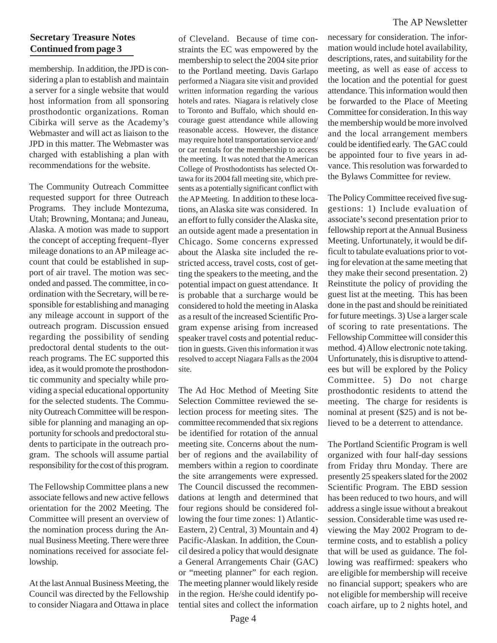#### **Secretary Treasure Notes Continued from page 3**

membership. In addition, the JPD is considering a plan to establish and maintain a server for a single website that would host information from all sponsoring prosthodontic organizations. Roman Cibirka will serve as the Academy's Webmaster and will act as liaison to the JPD in this matter. The Webmaster was charged with establishing a plan with recommendations for the website.

The Community Outreach Committee requested support for three Outreach Programs. They include Montezuma, Utah; Browning, Montana; and Juneau, Alaska. A motion was made to support the concept of accepting frequent–flyer mileage donations to an AP mileage account that could be established in support of air travel. The motion was seconded and passed. The committee, in coordination with the Secretary, will be responsible for establishing and managing any mileage account in support of the outreach program. Discussion ensued regarding the possibility of sending predoctoral dental students to the outreach programs. The EC supported this idea, as it would promote the prosthodontic community and specialty while providing a special educational opportunity for the selected students. The Community Outreach Committee will be responsible for planning and managing an opportunity for schools and predoctoral students to participate in the outreach program. The schools will assume partial responsibility for the cost of this program.

The Fellowship Committee plans a new associate fellows and new active fellows orientation for the 2002 Meeting. The Committee will present an overview of the nomination process during the Annual Business Meeting. There were three nominations received for associate fellowship.

At the last Annual Business Meeting, the Council was directed by the Fellowship to consider Niagara and Ottawa in place of Cleveland. Because of time constraints the EC was empowered by the membership to select the 2004 site prior to the Portland meeting. Davis Garlapo performed a Niagara site visit and provided written information regarding the various hotels and rates. Niagara is relatively close to Toronto and Buffalo, which should encourage guest attendance while allowing reasonable access. However, the distance may require hotel transportation service and/ or car rentals for the membership to access the meeting. It was noted that the American College of Prosthodontists has selected Ottawa for its 2004 fall meeting site, which presents as a potentially significant conflict with the AP Meeting. In addition to these locations, an Alaska site was considered. In an effort to fully consider the Alaska site, an outside agent made a presentation in Chicago. Some concerns expressed about the Alaska site included the restricted access, travel costs, cost of getting the speakers to the meeting, and the potential impact on guest attendance. It is probable that a surcharge would be considered to hold the meeting in Alaska as a result of the increased Scientific Program expense arising from increased speaker travel costs and potential reduction in guests. Given this information it was resolved to accept Niagara Falls as the 2004 site.

The Ad Hoc Method of Meeting Site Selection Committee reviewed the selection process for meeting sites. The committee recommended that six regions be identified for rotation of the annual meeting site. Concerns about the number of regions and the availability of members within a region to coordinate the site arrangements were expressed. The Council discussed the recommendations at length and determined that four regions should be considered following the four time zones: 1) Atlantic-Eastern, 2) Central, 3) Mountain and 4) Pacific-Alaskan. In addition, the Council desired a policy that would designate a General Arrangements Chair (GAC) or "meeting planner" for each region. The meeting planner would likely reside in the region. He/she could identify potential sites and collect the information

necessary for consideration. The information would include hotel availability, descriptions, rates, and suitability for the meeting, as well as ease of access to the location and the potential for guest attendance. This information would then be forwarded to the Place of Meeting Committee for consideration. In this way the membership would be more involved and the local arrangement members could be identified early. The GAC could be appointed four to five years in advance. This resolution was forwarded to the Bylaws Committee for review.

The Policy Committee received five suggestions: 1) Include evaluation of associate's second presentation prior to fellowship report at the Annual Business Meeting. Unfortunately, it would be difficult to tabulate evaluations prior to voting for elevation at the same meeting that they make their second presentation. 2) Reinstitute the policy of providing the guest list at the meeting. This has been done in the past and should be reinitiated for future meetings. 3) Use a larger scale of scoring to rate presentations. The Fellowship Committee will consider this method. 4) Allow electronic note taking. Unfortunately, this is disruptive to attendees but will be explored by the Policy Committee. 5) Do not charge prosthodontic residents to attend the meeting. The charge for residents is nominal at present (\$25) and is not believed to be a deterrent to attendance.

The Portland Scientific Program is well organized with four half-day sessions from Friday thru Monday. There are presently 25 speakers slated for the 2002 Scientific Program. The EBD session has been reduced to two hours, and will address a single issue without a breakout session. Considerable time was used reviewing the May 2002 Program to determine costs, and to establish a policy that will be used as guidance. The following was reaffirmed: speakers who are eligible for membership will receive no financial support; speakers who are not eligible for membership will receive coach airfare, up to 2 nights hotel, and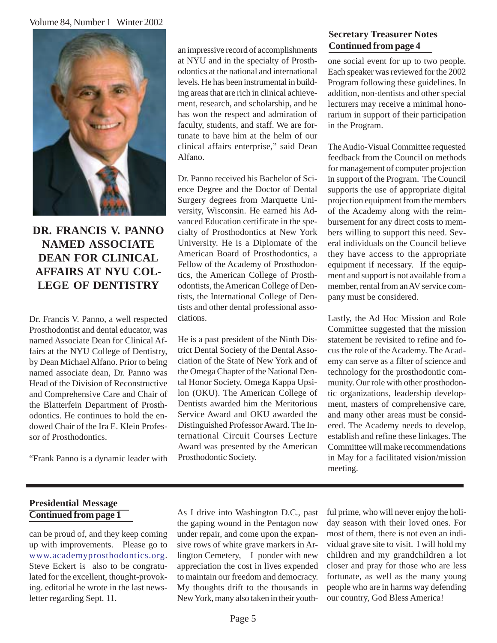#### Volume 84, Number 1 Winter 2002



#### **DR. FRANCIS V. PANNO NAMED ASSOCIATE DEAN FOR CLINICAL AFFAIRS AT NYU COL-LEGE OF DENTISTRY**

Dr. Francis V. Panno, a well respected Prosthodontist and dental educator, was named Associate Dean for Clinical Affairs at the NYU College of Dentistry, by Dean Michael Alfano. Prior to being named associate dean, Dr. Panno was Head of the Division of Reconstructive and Comprehensive Care and Chair of the Blatterfein Department of Prosthodontics. He continues to hold the endowed Chair of the Ira E. Klein Professor of Prosthodontics.

"Frank Panno is a dynamic leader with

an impressive record of accomplishments at NYU and in the specialty of Prosthodontics at the national and international levels. He has been instrumental in building areas that are rich in clinical achievement, research, and scholarship, and he has won the respect and admiration of faculty, students, and staff. We are fortunate to have him at the helm of our clinical affairs enterprise," said Dean Alfano.

Dr. Panno received his Bachelor of Science Degree and the Doctor of Dental Surgery degrees from Marquette University, Wisconsin. He earned his Advanced Education certificate in the specialty of Prosthodontics at New York University. He is a Diplomate of the American Board of Prosthodontics, a Fellow of the Academy of Prosthodontics, the American College of Prosthodontists, the American College of Dentists, the International College of Dentists and other dental professional associations.

He is a past president of the Ninth District Dental Society of the Dental Association of the State of New York and of the Omega Chapter of the National Dental Honor Society, Omega Kappa Upsilon (OKU). The American College of Dentists awarded him the Meritorious Service Award and OKU awarded the Distinguished Professor Award. The International Circuit Courses Lecture Award was presented by the American Prosthodontic Society.

#### **Secretary Treasurer Notes Continued from page 4**

one social event for up to two people. Each speaker was reviewed for the 2002 Program following these guidelines. In addition, non-dentists and other special lecturers may receive a minimal honorarium in support of their participation in the Program.

The Audio-Visual Committee requested feedback from the Council on methods for management of computer projection in support of the Program. The Council supports the use of appropriate digital projection equipment from the members of the Academy along with the reimbursement for any direct costs to members willing to support this need. Several individuals on the Council believe they have access to the appropriate equipment if necessary. If the equipment and support is not available from a member, rental from an AV service company must be considered.

Lastly, the Ad Hoc Mission and Role Committee suggested that the mission statement be revisited to refine and focus the role of the Academy. The Academy can serve as a filter of science and technology for the prosthodontic community. Our role with other prosthodontic organizations, leadership development, masters of comprehensive care, and many other areas must be considered. The Academy needs to develop, establish and refine these linkages. The Committee will make recommendations in May for a facilitated vision/mission meeting.

#### **Presidential Message Continued from page 1**

can be proud of, and they keep coming up with improvements. Please go to www.academyprosthodontics.org. Steve Eckert is also to be congratulated for the excellent, thought-provoking. editorial he wrote in the last newsletter regarding Sept. 11.

As I drive into Washington D.C., past the gaping wound in the Pentagon now under repair, and come upon the expansive rows of white grave markers in Arlington Cemetery, I ponder with new appreciation the cost in lives expended to maintain our freedom and democracy. My thoughts drift to the thousands in New York, many also taken in their youthful prime, who will never enjoy the holiday season with their loved ones. For most of them, there is not even an individual grave site to visit. I will hold my children and my grandchildren a lot closer and pray for those who are less fortunate, as well as the many young people who are in harms way defending our country, God Bless America!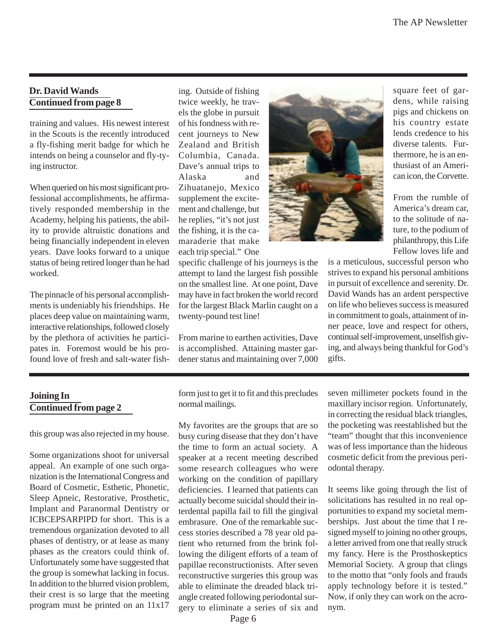#### **Dr. David Wands Continued from page 8**

training and values. His newest interest in the Scouts is the recently introduced a fly-fishing merit badge for which he intends on being a counselor and fly-tying instructor.

When queried on his most significant professional accomplishments, he affirmatively responded membership in the Academy, helping his patients, the ability to provide altruistic donations and being financially independent in eleven years. Dave looks forward to a unique status of being retired longer than he had worked.

The pinnacle of his personal accomplishments is undeniably his friendships. He places deep value on maintaining warm, interactive relationships, followed closely by the plethora of activities he participates in. Foremost would be his profound love of fresh and salt-water fishing. Outside of fishing twice weekly, he travels the globe in pursuit of his fondness with recent journeys to New Zealand and British Columbia, Canada. Dave's annual trips to Alaska and Zihuatanejo, Mexico supplement the excitement and challenge, but he replies, "it's not just the fishing, it is the camaraderie that make each trip special." One

specific challenge of his journeys is the attempt to land the largest fish possible on the smallest line. At one point, Dave may have in fact broken the world record for the largest Black Marlin caught on a twenty-pound test line!

From marine to earthen activities, Dave is accomplished. Attaining master gardener status and maintaining over 7,000



square feet of gardens, while raising pigs and chickens on his country estate lends credence to his diverse talents. Furthermore, he is an enthusiast of an American icon, the Corvette.

From the rumble of America's dream car, to the solitude of nature, to the podium of philanthropy, this Life Fellow loves life and

is a meticulous, successful person who strives to expand his personal ambitions in pursuit of excellence and serenity. Dr. David Wands has an ardent perspective on life who believes success is measured in commitment to goals, attainment of inner peace, love and respect for others, continual self-improvement, unselfish giving, and always being thankful for God's gifts.

#### **Joining In Continued from page 2**

this group was also rejected in my house.

Some organizations shoot for universal appeal. An example of one such organization is the International Congress and Board of Cosmetic, Esthetic, Phonetic, Sleep Apneic, Restorative, Prosthetic, Implant and Paranormal Dentistry or ICBCEPSARPIPD for short. This is a tremendous organization devoted to all phases of dentistry, or at lease as many phases as the creators could think of. Unfortunately some have suggested that the group is somewhat lacking in focus. In addition to the blurred vision problem, their crest is so large that the meeting program must be printed on an 11x17

form just to get it to fit and this precludes normal mailings.

My favorites are the groups that are so busy curing disease that they don't have the time to form an actual society. A speaker at a recent meeting described some research colleagues who were working on the condition of papillary deficiencies. I learned that patients can actually become suicidal should their interdental papilla fail to fill the gingival embrasure. One of the remarkable success stories described a 78 year old patient who returned from the brink following the diligent efforts of a team of papillae reconstructionists. After seven reconstructive surgeries this group was able to eliminate the dreaded black triangle created following periodontal surgery to eliminate a series of six and

seven millimeter pockets found in the maxillary incisor region. Unfortunately, in correcting the residual black triangles, the pocketing was reestablished but the "team" thought that this inconvenience was of less importance than the hideous cosmetic deficit from the previous periodontal therapy.

It seems like going through the list of solicitations has resulted in no real opportunities to expand my societal memberships. Just about the time that I resigned myself to joining no other groups, a letter arrived from one that really struck my fancy. Here is the Prosthoskeptics Memorial Society. A group that clings to the motto that "only fools and frauds apply technology before it is tested." Now, if only they can work on the acronym.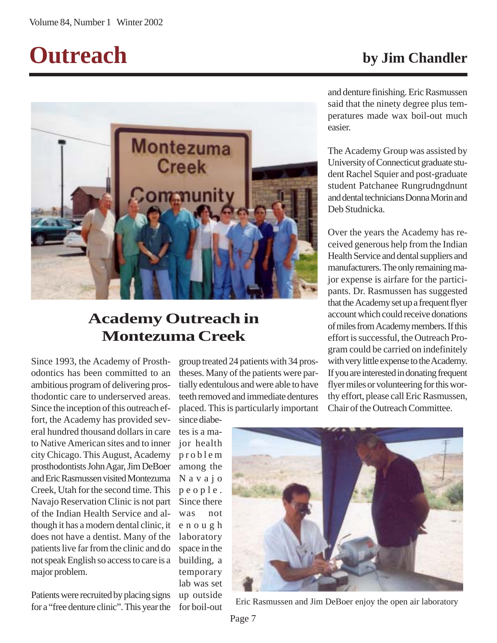## **Outreach by Jim Chandler**



### **Academy Outreach in Montezuma Creek**

Since 1993, the Academy of Prosthodontics has been committed to an ambitious program of delivering prosthodontic care to underserved areas. Since the inception of this outreach effort, the Academy has provided several hundred thousand dollars in care to Native American sites and to inner city Chicago. This August, Academy prosthodontists John Agar, Jim DeBoer and Eric Rasmussen visited Montezuma Creek, Utah for the second time. This Navajo Reservation Clinic is not part of the Indian Health Service and although it has a modern dental clinic, it does not have a dentist. Many of the patients live far from the clinic and do not speak English so access to care is a major problem.

Patients were recruited by placing signs for a "free denture clinic". This year the

group treated 24 patients with 34 prostheses. Many of the patients were partially edentulous and were able to have teeth removed and immediate dentures placed. This is particularly important

since diabetes is a major health problem among the Navajo people. Since there was not enough laboratory space in the building, a temporary lab was set up outside for boil-out



Eric Rasmussen and Jim DeBoer enjoy the open air laboratory

and denture finishing. Eric Rasmussen said that the ninety degree plus temperatures made wax boil-out much easier.

The Academy Group was assisted by University of Connecticut graduate student Rachel Squier and post-graduate student Patchanee Rungrudngdnunt and dental technicians Donna Morin and Deb Studnicka.

Over the years the Academy has received generous help from the Indian Health Service and dental suppliers and manufacturers. The only remaining major expense is airfare for the participants. Dr. Rasmussen has suggested that the Academy set up a frequent flyer account which could receive donations of miles from Academy members. If this effort is successful, the Outreach Program could be carried on indefinitely with very little expense to the Academy. If you are interested in donating frequent flyer miles or volunteering for this worthy effort, please call Eric Rasmussen, Chair of the Outreach Committee.